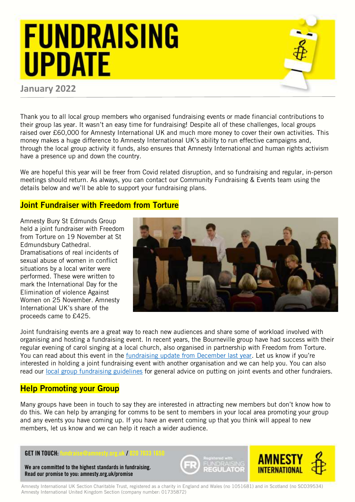## **FUNDRAISING UPDATE**

### **January 2022**

Thank you to all local group members who organised fundraising events or made financial contributions to their group las year. It wasn't an easy time for fundraising! Despite all of these challenges, local groups raised over £60,000 for Amnesty International UK and much more money to cover their own activities. This money makes a huge difference to Amnesty International UK's ability to run effective campaigns and, through the local group activity it funds, also ensures that Amnesty International and human rights activism have a presence up and down the country.

We are hopeful this year will be freer from Covid related disruption, and so fundraising and regular, in-person meetings should return. As always, you can contact our Community Fundraising & Events team using the details below and we'll be able to support your fundraising plans.

### Joint Fundraiser with Freedom from Torture

Amnesty Bury St Edmunds Group held a joint fundraiser with Freedom from Torture on 19 November at St Edmundsbury Cathedral. Dramatisations of real incidents of sexual abuse of women in conflict situations by a local writer were performed. These were written to mark the International Day for the Elimination of violence Against Women on 25 November. Amnesty International UK's share of the proceeds came to £425.



Joint fundraising events are a great way to reach new audiences and share some of workload involved with organising and hosting a fundraising event. In recent years, the Bourneville group have had success with their regular evening of carol singing at a local church, also organised in partnership with Freedom from Torture. You can read about this event in the [fundraising update from December last year](https://www.amnesty.org.uk/files/2021-01/Local%20Group%20Fundraising%20Update%20January.pdf?f_9xLOJR9hXhJhhjPgou0WpR6cKIY4QZ=). Let us know if you're interested in holding a joint fundraising event with another organisation and we can help you. You can also read our [local group fundraising guidelines](https://www.amnesty.org.uk/files/2018-11/Local%20Group%20Fundraising%20Guidelines%20Final.pdf) for general advice on putting on joint events and other fundraiers.

## **Help Promoting your Group**

Many groups have been in touch to say they are interested in attracting new members but don't know how to do this. We can help by arranging for comms to be sent to members in your local area promoting your group and any events you have coming up. If you have an event coming up that you think will appeal to new members, let us know and we can help it reach a wider audience.

#### **GET IN TOUCH:** fundraise@amnesty.org.uk / 020 7033

**We are committed to the highest standards in fundraising. Read our promise to you: amnesty.org.uk/promise**





Amnesty International UK Section Charitable Trust, registered as a charity in England and Wales (no 1051681) and in Scotland (no SCO39534) Amnesty International United Kingdom Section (company number: 01735872)